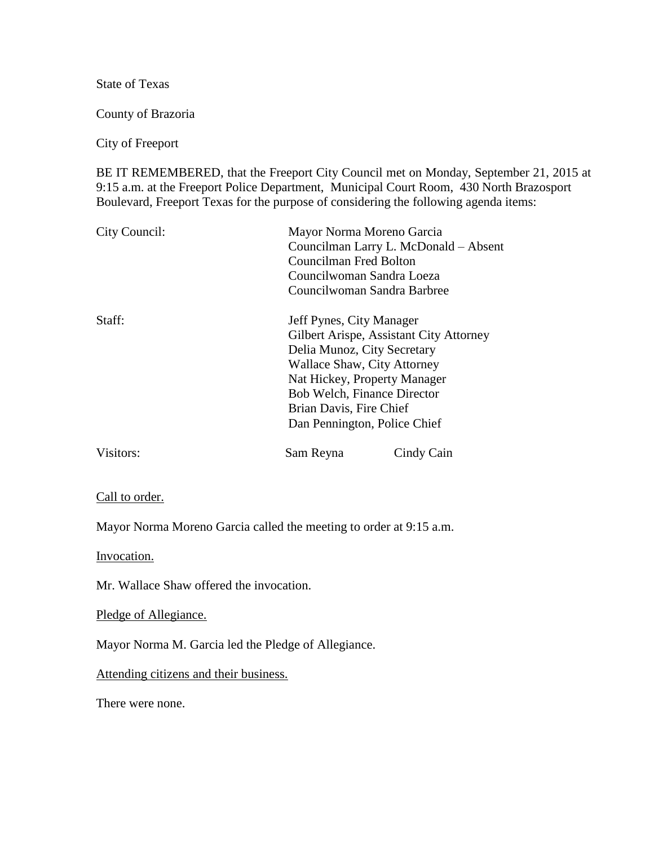State of Texas

County of Brazoria

City of Freeport

BE IT REMEMBERED, that the Freeport City Council met on Monday, September 21, 2015 at 9:15 a.m. at the Freeport Police Department, Municipal Court Room, 430 North Brazosport Boulevard, Freeport Texas for the purpose of considering the following agenda items:

| City Council: | Mayor Norma Moreno Garcia<br>Councilman Larry L. McDonald - Absent<br>Councilman Fred Bolton<br>Councilwoman Sandra Loeza<br>Councilwoman Sandra Barbree                                                                                                           |            |
|---------------|--------------------------------------------------------------------------------------------------------------------------------------------------------------------------------------------------------------------------------------------------------------------|------------|
| Staff:        | Jeff Pynes, City Manager<br>Gilbert Arispe, Assistant City Attorney<br>Delia Munoz, City Secretary<br>Wallace Shaw, City Attorney<br>Nat Hickey, Property Manager<br><b>Bob Welch, Finance Director</b><br>Brian Davis, Fire Chief<br>Dan Pennington, Police Chief |            |
| Visitors:     | Sam Reyna                                                                                                                                                                                                                                                          | Cindy Cain |

Call to order.

Mayor Norma Moreno Garcia called the meeting to order at 9:15 a.m.

Invocation.

Mr. Wallace Shaw offered the invocation.

Pledge of Allegiance.

Mayor Norma M. Garcia led the Pledge of Allegiance.

Attending citizens and their business.

There were none.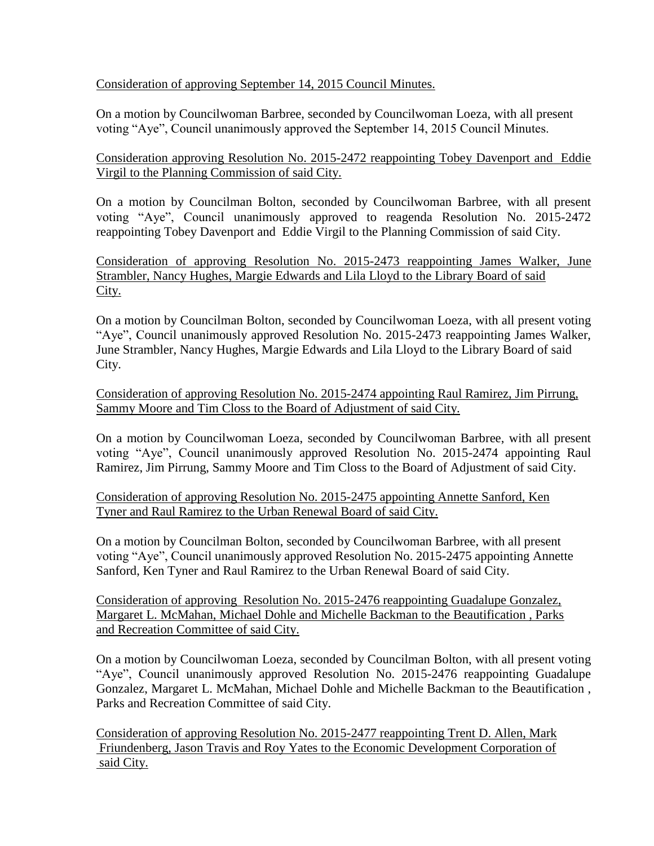Consideration of approving September 14, 2015 Council Minutes.

On a motion by Councilwoman Barbree, seconded by Councilwoman Loeza, with all present voting "Aye", Council unanimously approved the September 14, 2015 Council Minutes.

Consideration approving Resolution No. 2015-2472 reappointing Tobey Davenport and Eddie Virgil to the Planning Commission of said City.

On a motion by Councilman Bolton, seconded by Councilwoman Barbree, with all present voting "Aye", Council unanimously approved to reagenda Resolution No. 2015-2472 reappointing Tobey Davenport and Eddie Virgil to the Planning Commission of said City.

Consideration of approving Resolution No. 2015-2473 reappointing James Walker, June Strambler, Nancy Hughes, Margie Edwards and Lila Lloyd to the Library Board of said City.

On a motion by Councilman Bolton, seconded by Councilwoman Loeza, with all present voting "Aye", Council unanimously approved Resolution No. 2015-2473 reappointing James Walker, June Strambler, Nancy Hughes, Margie Edwards and Lila Lloyd to the Library Board of said City.

Consideration of approving Resolution No. 2015-2474 appointing Raul Ramirez, Jim Pirrung, Sammy Moore and Tim Closs to the Board of Adjustment of said City.

On a motion by Councilwoman Loeza, seconded by Councilwoman Barbree, with all present voting "Aye", Council unanimously approved Resolution No. 2015-2474 appointing Raul Ramirez, Jim Pirrung, Sammy Moore and Tim Closs to the Board of Adjustment of said City.

Consideration of approving Resolution No. 2015-2475 appointing Annette Sanford, Ken Tyner and Raul Ramirez to the Urban Renewal Board of said City.

On a motion by Councilman Bolton, seconded by Councilwoman Barbree, with all present voting "Aye", Council unanimously approved Resolution No. 2015-2475 appointing Annette Sanford, Ken Tyner and Raul Ramirez to the Urban Renewal Board of said City.

Consideration of approving Resolution No. 2015-2476 reappointing Guadalupe Gonzalez, Margaret L. McMahan, Michael Dohle and Michelle Backman to the Beautification , Parks and Recreation Committee of said City.

On a motion by Councilwoman Loeza, seconded by Councilman Bolton, with all present voting "Aye", Council unanimously approved Resolution No. 2015-2476 reappointing Guadalupe Gonzalez, Margaret L. McMahan, Michael Dohle and Michelle Backman to the Beautification , Parks and Recreation Committee of said City.

Consideration of approving Resolution No. 2015-2477 reappointing Trent D. Allen, Mark Friundenberg, Jason Travis and Roy Yates to the Economic Development Corporation of said City.